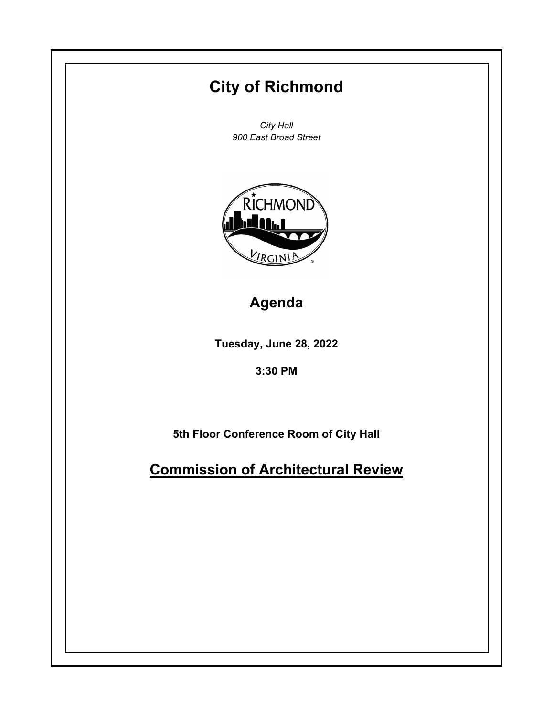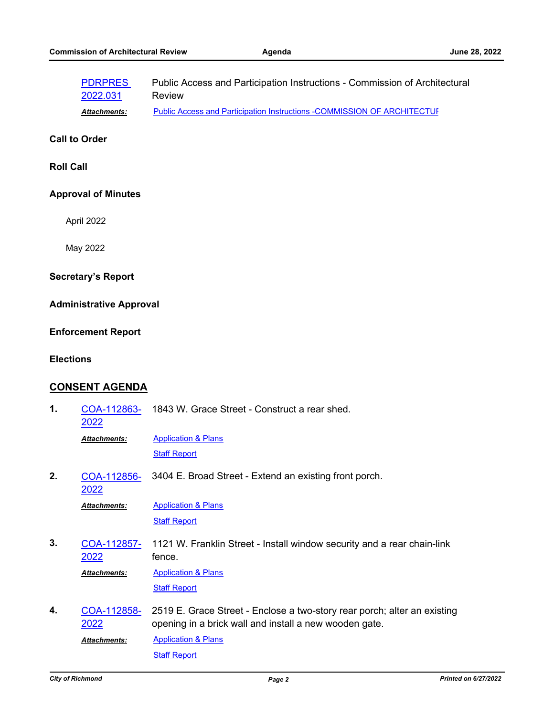|                                | <b>PDRPRES</b><br>2022.031 | Public Access and Participation Instructions - Commission of Architectural<br><b>Review</b>                                        |
|--------------------------------|----------------------------|------------------------------------------------------------------------------------------------------------------------------------|
|                                | Attachments:               | <b>Public Access and Participation Instructions -COMMISSION OF ARCHITECTUE</b>                                                     |
| <b>Call to Order</b>           |                            |                                                                                                                                    |
| <b>Roll Call</b>               |                            |                                                                                                                                    |
| <b>Approval of Minutes</b>     |                            |                                                                                                                                    |
|                                | April 2022                 |                                                                                                                                    |
|                                | May 2022                   |                                                                                                                                    |
| <b>Secretary's Report</b>      |                            |                                                                                                                                    |
| <b>Administrative Approval</b> |                            |                                                                                                                                    |
| <b>Enforcement Report</b>      |                            |                                                                                                                                    |
| <b>Elections</b>               |                            |                                                                                                                                    |
| <b>CONSENT AGENDA</b>          |                            |                                                                                                                                    |
| 1.                             | COA-112863-<br>2022        | 1843 W. Grace Street - Construct a rear shed.                                                                                      |
|                                | Attachments:               | <b>Application &amp; Plans</b>                                                                                                     |
|                                |                            | <b>Staff Report</b>                                                                                                                |
| 2.                             | COA-112856-<br>2022        | 3404 E. Broad Street - Extend an existing front porch.                                                                             |
|                                | Attachments:               | <b>Application &amp; Plans</b>                                                                                                     |
|                                |                            | <b>Staff Report</b>                                                                                                                |
| 3.                             | <u>COA-112857-</u><br>2022 | 1121 W. Franklin Street - Install window security and a rear chain-link<br>fence.                                                  |
|                                | <b>Attachments:</b>        | <b>Application &amp; Plans</b>                                                                                                     |
|                                |                            | <b>Staff Report</b>                                                                                                                |
| 4.                             | <u>COA-112858-</u><br>2022 | 2519 E. Grace Street - Enclose a two-story rear porch; alter an existing<br>opening in a brick wall and install a new wooden gate. |
|                                | Attachments:               | <b>Application &amp; Plans</b>                                                                                                     |
|                                |                            | <b>Staff Report</b>                                                                                                                |